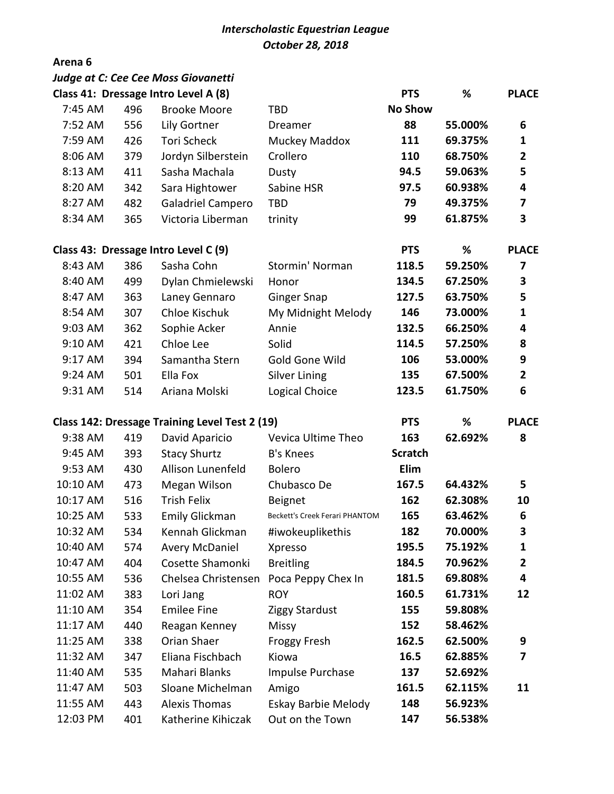## *Interscholastic Equestrian League October 28, 2018*

## **Arena 6**

|          |     | <b>Judge at C: Cee Cee Moss Giovanetti</b>     |                                       |                |         |                |
|----------|-----|------------------------------------------------|---------------------------------------|----------------|---------|----------------|
|          |     | Class 41: Dressage Intro Level A (8)           |                                       | <b>PTS</b>     | %       | <b>PLACE</b>   |
| 7:45 AM  | 496 | <b>Brooke Moore</b>                            | <b>TBD</b>                            | <b>No Show</b> |         |                |
| 7:52 AM  | 556 | Lily Gortner                                   | Dreamer                               | 88             | 55.000% | 6              |
| 7:59 AM  | 426 | <b>Tori Scheck</b>                             | Muckey Maddox                         | 111            | 69.375% | 1              |
| 8:06 AM  | 379 | Jordyn Silberstein                             | Crollero                              | 110            | 68.750% | $\mathbf{2}$   |
| 8:13 AM  | 411 | Sasha Machala                                  | Dusty                                 | 94.5           | 59.063% | 5              |
| 8:20 AM  | 342 | Sara Hightower                                 | Sabine HSR                            | 97.5           | 60.938% | 4              |
| 8:27 AM  | 482 | Galadriel Campero                              | <b>TBD</b>                            | 79             | 49.375% | 7              |
| 8:34 AM  | 365 | Victoria Liberman                              | trinity                               | 99             | 61.875% | 3              |
|          |     | Class 43: Dressage Intro Level C (9)           |                                       | <b>PTS</b>     | %       | <b>PLACE</b>   |
| 8:43 AM  | 386 | Sasha Cohn                                     | Stormin' Norman                       | 118.5          | 59.250% | 7              |
| 8:40 AM  | 499 | Dylan Chmielewski                              | Honor                                 | 134.5          | 67.250% | 3              |
| 8:47 AM  | 363 | Laney Gennaro                                  | <b>Ginger Snap</b>                    | 127.5          | 63.750% | 5              |
| 8:54 AM  | 307 | Chloe Kischuk                                  | My Midnight Melody                    | 146            | 73.000% | $\mathbf{1}$   |
| 9:03 AM  | 362 | Sophie Acker                                   | Annie                                 | 132.5          | 66.250% | 4              |
| 9:10 AM  | 421 | Chloe Lee                                      | Solid                                 | 114.5          | 57.250% | 8              |
| 9:17 AM  | 394 | Samantha Stern                                 | Gold Gone Wild                        | 106            | 53.000% | 9              |
| 9:24 AM  | 501 | Ella Fox                                       | <b>Silver Lining</b>                  | 135            | 67.500% | $\overline{2}$ |
| 9:31 AM  | 514 | Ariana Molski                                  | Logical Choice                        | 123.5          | 61.750% | 6              |
|          |     | Class 142: Dressage Training Level Test 2 (19) |                                       | <b>PTS</b>     | %       | <b>PLACE</b>   |
| 9:38 AM  | 419 | David Aparicio                                 | Vevica Ultime Theo                    | 163            | 62.692% | 8              |
| 9:45 AM  | 393 | <b>Stacy Shurtz</b>                            | <b>B's Knees</b>                      | <b>Scratch</b> |         |                |
| 9:53 AM  | 430 | Allison Lunenfeld                              | <b>Bolero</b>                         | Elim           |         |                |
| 10:10 AM | 473 | Megan Wilson                                   | Chubasco De                           | 167.5          | 64.432% | 5              |
| 10:17 AM | 516 | <b>Trish Felix</b>                             | Beignet                               | 162            | 62.308% | 10             |
| 10:25 AM | 533 | <b>Emily Glickman</b>                          | <b>Beckett's Creek Ferari PHANTOM</b> | 165            | 63.462% | 6              |
| 10:32 AM | 534 | Kennah Glickman                                | #iwokeuplikethis                      | 182            | 70.000% | 3              |
| 10:40 AM | 574 | <b>Avery McDaniel</b>                          | Xpresso                               | 195.5          | 75.192% | 1              |
| 10:47 AM | 404 | Cosette Shamonki                               | <b>Breitling</b>                      | 184.5          | 70.962% | 2              |
| 10:55 AM | 536 | Chelsea Christensen                            | Poca Peppy Chex In                    | 181.5          | 69.808% | 4              |
| 11:02 AM | 383 | Lori Jang                                      | <b>ROY</b>                            | 160.5          | 61.731% | 12             |
| 11:10 AM | 354 | <b>Emilee Fine</b>                             | <b>Ziggy Stardust</b>                 | 155            | 59.808% |                |
| 11:17 AM | 440 | Reagan Kenney                                  | Missy                                 | 152            | 58.462% |                |
| 11:25 AM | 338 | Orian Shaer                                    | <b>Froggy Fresh</b>                   | 162.5          | 62.500% | 9              |
| 11:32 AM | 347 | Eliana Fischbach                               | Kiowa                                 | 16.5           | 62.885% | 7              |
| 11:40 AM | 535 | Mahari Blanks                                  | Impulse Purchase                      | 137            | 52.692% |                |
| 11:47 AM | 503 | Sloane Michelman                               | Amigo                                 | 161.5          | 62.115% | 11             |
| 11:55 AM | 443 | <b>Alexis Thomas</b>                           | Eskay Barbie Melody                   | 148            | 56.923% |                |
| 12:03 PM | 401 | Katherine Kihiczak                             | Out on the Town                       | 147            | 56.538% |                |